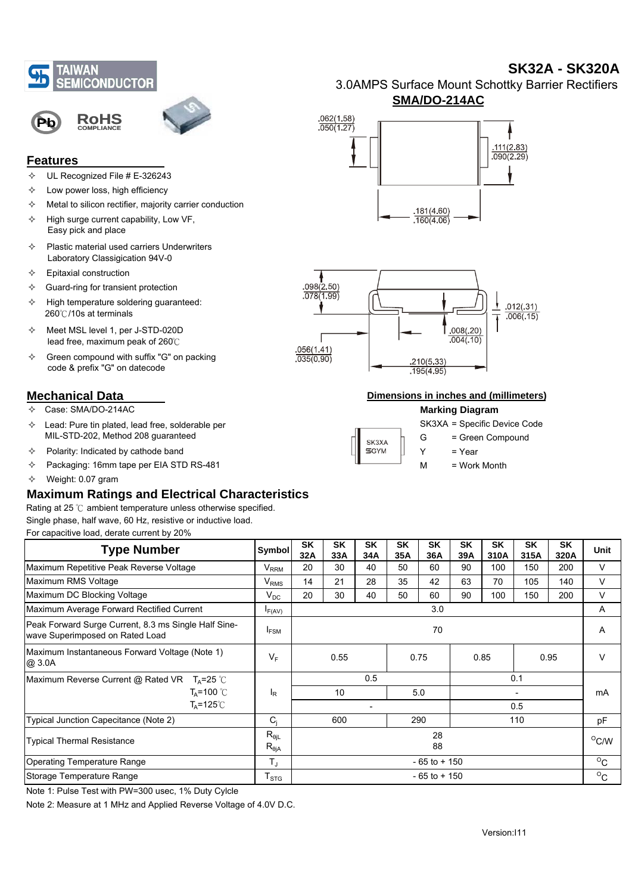



## **Features**

- $\div$  UL Recognized File # E-326243
- $\div$  Low power loss, high efficiency
- $\Leftrightarrow$  Metal to silicon rectifier, majority carrier conduction
- $\div$  High surge current capability, Low VF, Easy pick and place
- $\Leftrightarrow$  Plastic material used carriers Underwriters Laboratory Classigication 94V-0
- $\Leftrightarrow$  Epitaxial construction
- $\Leftrightarrow$  Guard-ring for transient protection
- $\div$  High temperature soldering guaranteed: 260℃/10s at terminals
- $\div$  Meet MSL level 1, per J-STD-020D lead free, maximum peak of 260℃
- $\div$  Green compound with suffix "G" on packing code & prefix "G" on datecode

# **Mechanical Data**

- Case: SMA/DO-214AC
- $\div$  Lead: Pure tin plated, lead free, solderable per MIL-STD-202, Method 208 guaranteed
- $\div$  Polarity: Indicated by cathode band
- Packaging: 16mm tape per EIA STD RS-481
- $\div$  Weight: 0.07 gram

# **Maximum Ratings and Electrical Characteristics**

Rating at 25 ℃ ambient temperature unless otherwise specified. Single phase, half wave, 60 Hz, resistive or inductive load.

For capacitive load, derate current by 20%

| Symbol                          | <b>SK</b><br>32A         | SK<br>33A | <b>SK</b><br>34A | <b>SK</b><br>35A | <b>SK</b><br>36A | <b>SK</b><br>39A | <b>SK</b><br>310A | SK<br>315A | <b>SK</b><br>320A | Unit |
|---------------------------------|--------------------------|-----------|------------------|------------------|------------------|------------------|-------------------|------------|-------------------|------|
| $V_{\rm RRM}$                   | 20                       | 30        | 40               | 50               | 60               | 90               | 100               | 150        | 200               | V    |
| $V_{RMS}$                       | 14                       | 21        | 28               | 35               | 42               | 63               | 70                | 105        | 140               | V    |
| $V_{DC}$                        | 20                       | 30        | 40               | 50               | 60               | 90               | 100               | 150        | 200               | V    |
| $I_{F(AV)}$                     | 3.0                      |           |                  |                  |                  |                  |                   |            | A                 |      |
| $I_{FSM}$                       | 70                       |           |                  |                  |                  |                  |                   |            | A                 |      |
| $V_F$                           | 0.55<br>0.75             |           |                  | 0.85             |                  |                  |                   | V          |                   |      |
|                                 | 0.5<br>0.1               |           |                  |                  |                  |                  |                   |            |                   |      |
| ΙŖ                              | 10                       |           |                  | 5.0              |                  |                  |                   |            |                   | mA   |
|                                 | $\overline{\phantom{a}}$ |           |                  |                  | 0.5              |                  |                   |            |                   |      |
| $C_i$                           | 290<br>110<br>600        |           |                  |                  |                  | pF               |                   |            |                   |      |
| $R_{\theta iL}$<br>$R_{\theta}$ | 28<br>88                 |           |                  |                  |                  | $^{\circ}$ C/W   |                   |            |                   |      |
| $T_{\rm J}$                     | $-65$ to $+150$          |           |                  |                  |                  |                  |                   |            | $^{\circ}$ C      |      |
| ${\sf T}_{\text{STG}}$          | $-65$ to $+150$          |           |                  |                  |                  |                  |                   |            | $^{\circ}$ C      |      |
|                                 |                          |           |                  |                  |                  |                  |                   |            |                   | 0.95 |

Note 1: Pulse Test with PW=300 usec, 1% Duty Cylcle

Note 2: Measure at 1 MHz and Applied Reverse Voltage of 4.0V D.C.

3.0AMPS Surface Mount Schottky Barrier Rectifiers **SMA/DO-214AC**

**SK32A - SK320A**





#### **Dimensions in inches and (millimeters)**

### **Marking Diagram**

|                      |   | SK3XA = Specific Device Code |
|----------------------|---|------------------------------|
| SK3XA<br><b>SGYM</b> | G | = Green Compound             |
|                      |   | = Year                       |
|                      | м | = Work Month                 |